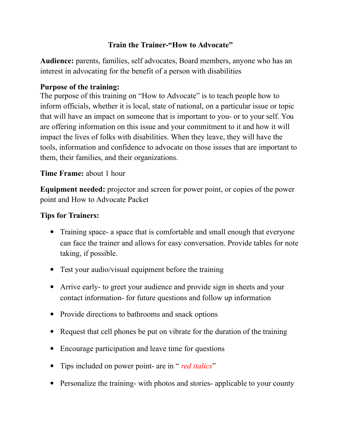# **Train the Trainer-"How to Advocate"**

**Audience:** parents, families, self advocates, Board members, anyone who has an interest in advocating for the benefit of a person with disabilities

# **Purpose of the training:**

The purpose of this training on "How to Advocate" is to teach people how to inform officials, whether it is local, state of national, on a particular issue or topic that will have an impact on someone that is important to you- or to your self. You are offering information on this issue and your commitment to it and how it will impact the lives of folks with disabilities. When they leave, they will have the tools, information and confidence to advocate on those issues that are important to them, their families, and their organizations.

# **Time Frame:** about 1 hour

**Equipment needed:** projector and screen for power point, or copies of the power point and How to Advocate Packet

### **Tips for Trainers:**

- Training space- a space that is comfortable and small enough that everyone can face the trainer and allows for easy conversation. Provide tables for note taking, if possible.
- Test your audio/visual equipment before the training
- Arrive early- to greet your audience and provide sign in sheets and your contact information- for future questions and follow up information
- Provide directions to bathrooms and snack options
- Request that cell phones be put on vibrate for the duration of the training
- Encourage participation and leave time for questions
- Tips included on power point- are in " *red italics*"
- Personalize the training- with photos and stories- applicable to your county